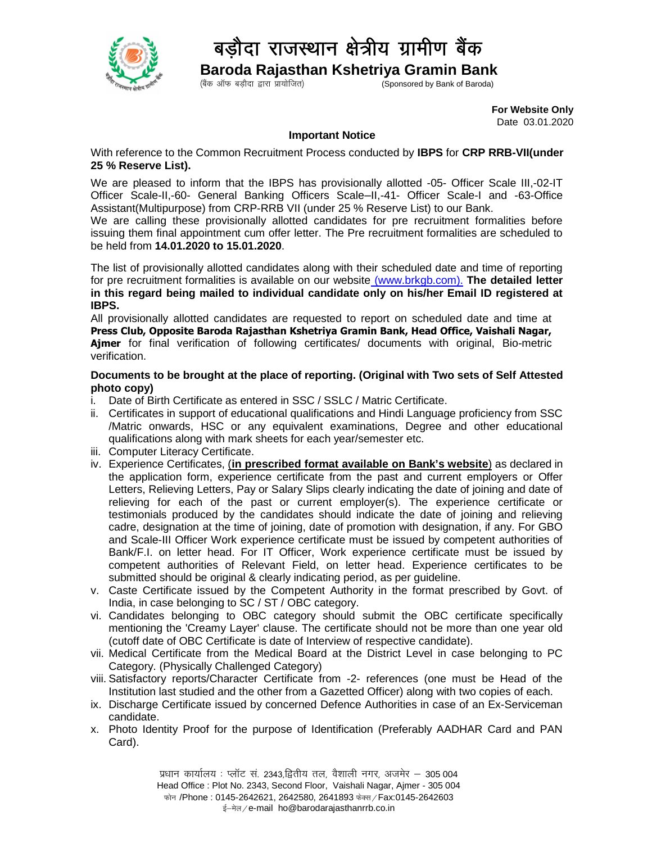

### बड़ौदा राजस्थान क्षेत्रीय ग्रामीण बैंक

**Baroda Rajasthan Kshetriya Gramin Bank** Sponsored by Bank of Baroda)

> **For Website Only** Date 03.01.2020

#### **Important Notice**

With reference to the Common Recruitment Process conducted by **IBPS** for **CRP RRB-VII(under 25 % Reserve List).**

We are pleased to inform that the IBPS has provisionally allotted -05- Officer Scale III,-02-IT Officer Scale-II,-60- General Banking Officers Scale–II,-41- Officer Scale-I and -63-Office Assistant(Multipurpose) from CRP-RRB VII (under 25 % Reserve List) to our Bank.

We are calling these provisionally allotted candidates for pre recruitment formalities before issuing them final appointment cum offer letter. The Pre recruitment formalities are scheduled to be held from **14.01.2020 to 15.01.2020**.

The list of provisionally allotted candidates along with their scheduled date and time of reporting for pre recruitment formalities is available on our website (www.brkgb.com). **The detailed letter in this regard being mailed to individual candidate only on his/her Email ID registered at IBPS.**

All provisionally allotted candidates are requested to report on scheduled date and time at **Press Club, Opposite Baroda Rajasthan Kshetriya Gramin Bank, Head Office, Vaishali Nagar, Ajmer** for final verification of following certificates/ documents with original, Bio-metric verification.

#### **Documents to be brought at the place of reporting. (Original with Two sets of Self Attested photo copy)**

- i. Date of Birth Certificate as entered in SSC / SSLC / Matric Certificate.
- ii. Certificates in support of educational qualifications and Hindi Language proficiency from SSC /Matric onwards, HSC or any equivalent examinations, Degree and other educational qualifications along with mark sheets for each year/semester etc.
- iii. Computer Literacy Certificate.
- iv. Experience Certificates, (**in prescribed format available on Bank's website**) as declared in the application form, experience certificate from the past and current employers or Offer Letters, Relieving Letters, Pay or Salary Slips clearly indicating the date of joining and date of relieving for each of the past or current employer(s). The experience certificate or testimonials produced by the candidates should indicate the date of joining and relieving cadre, designation at the time of joining, date of promotion with designation, if any. For GBO and Scale-III Officer Work experience certificate must be issued by competent authorities of Bank/F.I. on letter head. For IT Officer, Work experience certificate must be issued by competent authorities of Relevant Field, on letter head. Experience certificates to be submitted should be original & clearly indicating period, as per guideline.
- v. Caste Certificate issued by the Competent Authority in the format prescribed by Govt. of India, in case belonging to SC / ST / OBC category.
- vi. Candidates belonging to OBC category should submit the OBC certificate specifically mentioning the 'Creamy Layer' clause. The certificate should not be more than one year old (cutoff date of OBC Certificate is date of Interview of respective candidate).
- vii. Medical Certificate from the Medical Board at the District Level in case belonging to PC Category. (Physically Challenged Category)
- viii. Satisfactory reports/Character Certificate from -2- references (one must be Head of the Institution last studied and the other from a Gazetted Officer) along with two copies of each.
- ix. Discharge Certificate issued by concerned Defence Authorities in case of an Ex-Serviceman candidate.
- x. Photo Identity Proof for the purpose of Identification (Preferably AADHAR Card and PAN Card).